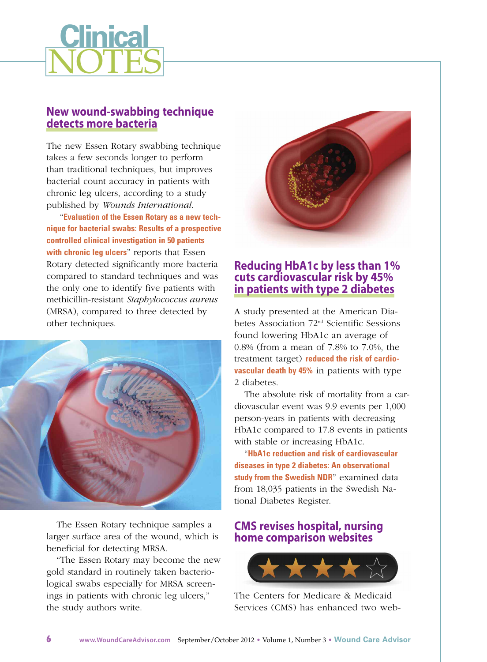

### **New wound-swabbing technique detects more bacteria**

The new Essen Rotary swabbing technique takes a few seconds longer to perform than traditional techniques, but improves bacterial count accuracy in patients with chronic leg ulcers, according to a study published by *Wounds International*.

"**Evaluation of the Essen Rotary as a new technique for bacterial swabs: Results of a prospective controlled clinical [investigation](http://onlinelibrary.wiley.com/doi/10.1111/j.1742-481X.2012.01036.x/abstract) in 50 patients with chronic leg ulcers**" reports that Essen Rotary detected significantly more bacteria compared to standard techniques and was the only one to identify five patients with methicillin-resistant *Staphylococcus aureus* (MRSA), compared to three detected by other techniques.



The Essen Rotary technique samples a larger surface area of the wound, which is beneficial for detecting MRSA.

"The Essen Rotary may become the new gold standard in routinely taken bacteriological swabs especially for MRSA screenings in patients with chronic leg ulcers," the study authors write.



# **Reducing HbA1c by less than 1% cuts cardiovascular risk by 45% in patients with type 2 diabetes**

A study presented at the American Diabetes Association 72nd Scientific Sessions found lowering HbA1c an average of 0.8% (from a mean of 7.8% to 7.0%, the [treatment](http://www.diabetesincontrol.com/articles/diabetes-news/12972-ada-reducing-a1c-a-little-less-than-1-point-reduces-cv-risk-by-45-percent) target) **reduced the risk of cardiovascular death by 45%** in patients with type 2 diabetes.

The absolute risk of mortality from a cardiovascular event was 9.9 events per 1,000 person-years in patients with decreasing HbA1c compared to 17.8 events in patients with stable or increasing HbA1c.

"**HbA1c reduction and risk of [cardiovascular](http://www.abstractsonline.com/Plan/ViewAbstract.aspx?sKey=465c09cc-e66a-403c-a619-0f648526bd73&cKey=89a308da-61f7-4ed8-82ef-a5a7168ff33a&mKey={0F70410F-8DF3-49F5-A63D-3165359F5371}) diseases in type 2 diabetes: An observational study from the Swedish NDR**" examined data from 18,035 patients in the Swedish National Diabetes Register.

# **CMS revises hospital, nursing home comparison websites**



The Centers for Medicare & Medicaid Services (CMS) has enhanced two web-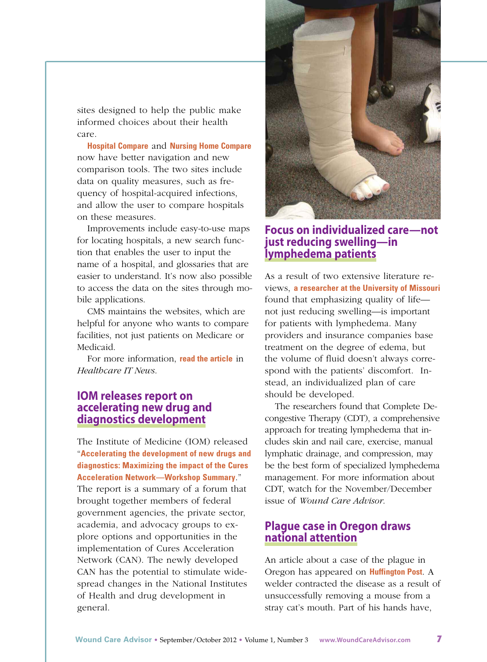sites designed to help the public make informed choices about their health care.

**Hospital [Compare](http://www.hospitalcompare.hhs.gov/)** and **Nursing Home [Compare](http://www.medicare.gov/nhcompare/)** now have better navigation and new comparison tools. The two sites include data on quality measures, such as frequency of hospital-acquired infections, and allow the user to compare hospitals on these measures.

Improvements include easy-to-use maps for locating hospitals, a new search function that enables the user to input the name of a hospital, and glossaries that are easier to understand. It's now also possible to access the data on the sites through mobile applications.

CMS maintains the websites, which are helpful for anyone who wants to compare facilities, not just patients on Medicare or Medicaid.

For more information, **read the [article](http://www.healthcareitnews.com/news/cms-revamps-hospital-and-nursing-home-sites)** in *Healthcare IT News*.

### **IOM releases report on accelerating new drug and diagnostics development**

The Institute of Medicine (IOM) released "**Accelerating the development of new drugs and diagnostics: Maximizing the impact of the Cures Acceleration [Network—Workshop](http://www.iom.edu/Reports/2012/Accelerating-the-Development-of-New-Drugs-and-Diagnostics.aspx) Summary**." The report is a summary of a forum that brought together members of federal government agencies, the private sector, academia, and advocacy groups to explore options and opportunities in the implementation of Cures Acceleration Network (CAN). The newly developed CAN has the potential to stimulate widespread changes in the National Institutes of Health and drug development in general.



### **Focus on individualized care—not just reducing swelling—in lymphedema patients**

As a result of two extensive literature reviews, **a [researcher](http://munews.missouri.edu/news-releases/2012/0809-individualized-care-best-for-lymphedema-patients-mu-researcher-says/) at the University of Missouri** found that emphasizing quality of life not just reducing swelling—is important for patients with lymphedema. Many providers and insurance companies base treatment on the degree of edema, but the volume of fluid doesn't always correspond with the patients' discomfort. Instead, an individualized plan of care should be developed.

The researchers found that Complete Decongestive Therapy (CDT), a comprehensive approach for treating lymphedema that includes skin and nail care, exercise, manual lymphatic drainage, and compression, may be the best form of specialized lymphedema management. For more information about CDT, watch for the November/December issue of *Wound Care Advisor*.

# **Plague case in Oregon draws national attention**

An article about a case of the plague in Oregon has appeared on **[Huffington](http://www.huffingtonpost.com/2012/07/17/paul-gaylord-recovering-f_n_1681242.html#slide=more239337) Post**. A welder contracted the disease as a result of unsuccessfully removing a mouse from a stray cat's mouth. Part of his hands have,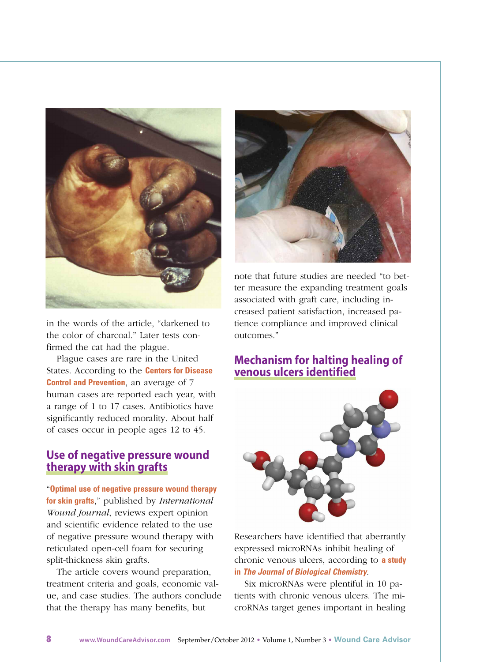

in the words of the article, "darkened to the color of charcoal." Later tests confirmed the cat had the plague.

Plague cases are rare in the United States. [According](http://www.cdc.gov/plague/faq/) to the **Centers for Disease Control and Prevention**, an average of 7 human cases are reported each year, with a range of 1 to 17 cases. Antibiotics have significantly reduced morality. About half of cases occur in people ages 12 to 45.

### **Use of negative pressure wound therapy with skin grafts**

"**Optimal use of negative pressure wound therapy for skin grafts**," published by *[International](http://onlinelibrary.wiley.com/doi/10.1111/j.1742-481X.2012.01019.x/abstract) Wound Journal*, reviews expert opinion and scientific evidence related to the use of negative pressure wound therapy with reticulated open-cell foam for securing split-thickness skin grafts.

The article covers wound preparation, treatment criteria and goals, economic value, and case studies. The authors conclude that the therapy has many benefits, but



note that future studies are needed "to better measure the expanding treatment goals associated with graft care, including increased patient satisfaction, increased patience compliance and improved clinical outcomes."

#### **Mechanism for halting healing of venous ulcers identified**



Researchers have identified that aberrantly expressed microRNAs inhibit healing of chronic venous ulcers, [according](http://www.jbc.org/content/early/2012/07/06/jbc.M112.382135.full.pdf+html) to **a study in** *The Journal of Biological Chemistry*.

Six microRNAs were plentiful in 10 patients with chronic venous ulcers. The microRNAs target genes important in healing